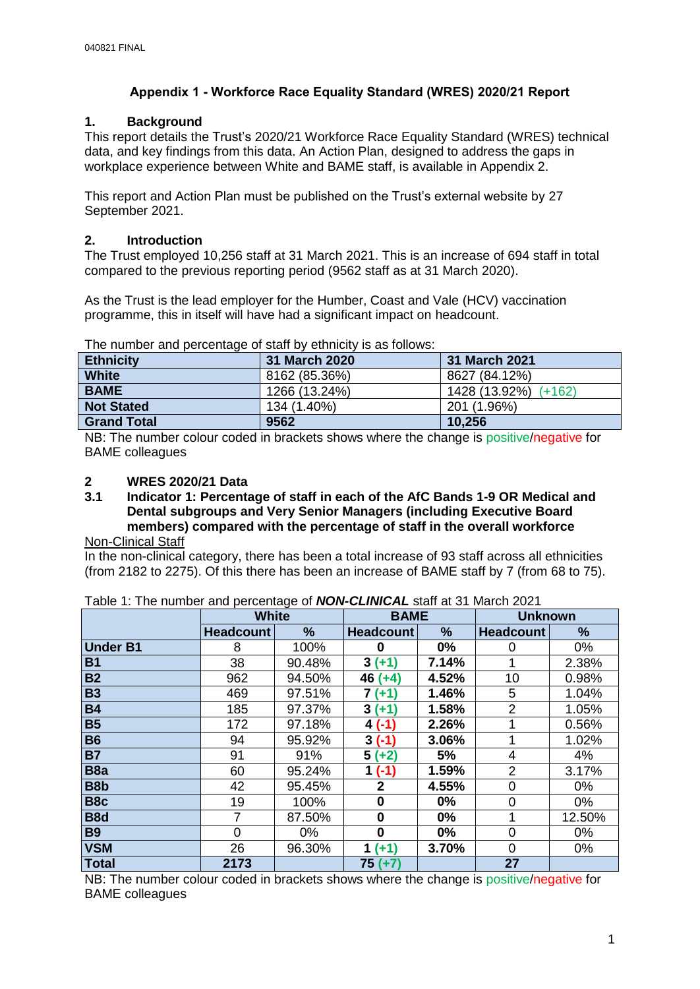## **Appendix 1 - Workforce Race Equality Standard (WRES) 2020/21 Report**

## **1. Background**

This report details the Trust's 2020/21 Workforce Race Equality Standard (WRES) technical data, and key findings from this data. An Action Plan, designed to address the gaps in workplace experience between White and BAME staff, is available in Appendix 2.

This report and Action Plan must be published on the Trust's external website by 27 September 2021.

## **2. Introduction**

The Trust employed 10,256 staff at 31 March 2021. This is an increase of 694 staff in total compared to the previous reporting period (9562 staff as at 31 March 2020).

As the Trust is the lead employer for the Humber, Coast and Vale (HCV) vaccination programme, this in itself will have had a significant impact on headcount.

| <b>Ethnicity</b>   | 31 March 2020 | 31 March 2021        |  |
|--------------------|---------------|----------------------|--|
| <b>White</b>       | 8162 (85.36%) | 8627 (84.12%)        |  |
| <b>BAME</b>        | 1266 (13.24%) | 1428 (13.92%) (+162) |  |
| <b>Not Stated</b>  | 134 (1.40%)   | 201 (1.96%)          |  |
| <b>Grand Total</b> | 9562          | 10,256               |  |

The number and percentage of staff by ethnicity is as follows:

NB: The number colour coded in brackets shows where the change is positive/negative for BAME colleagues

# **2 WRES 2020/21 Data**

**3.1 Indicator 1: Percentage of staff in each of the AfC Bands 1-9 OR Medical and Dental subgroups and Very Senior Managers (including Executive Board members) compared with the percentage of staff in the overall workforce**

# Non-Clinical Staff

In the non-clinical category, there has been a total increase of 93 staff across all ethnicities (from 2182 to 2275). Of this there has been an increase of BAME staff by 7 (from 68 to 75).

|                  | <b>White</b>     |        | <b>BAME</b>      |       | <b>Unknown</b>   |        |
|------------------|------------------|--------|------------------|-------|------------------|--------|
|                  | <b>Headcount</b> | %      | <b>Headcount</b> | %     | <b>Headcount</b> | %      |
| <b>Under B1</b>  | 8                | 100%   | 0                | $0\%$ | 0                | $0\%$  |
| <b>B1</b>        | 38               | 90.48% | $3(+1)$          | 7.14% |                  | 2.38%  |
| <b>B2</b>        | 962              | 94.50% | $46 (+4)$        | 4.52% | 10               | 0.98%  |
| <b>B3</b>        | 469              | 97.51% | 7 (+1)           | 1.46% | 5                | 1.04%  |
| <b>B4</b>        | 185              | 97.37% | $3(+1)$          | 1.58% | $\overline{2}$   | 1.05%  |
| <b>B5</b>        | 172              | 97.18% | $4( -1)$         | 2.26% |                  | 0.56%  |
| <b>B6</b>        | 94               | 95.92% | $3(-1)$          | 3.06% |                  | 1.02%  |
| <b>B7</b>        | 91               | 91%    | $5(+2)$          | 5%    | 4                | 4%     |
| B <sub>8</sub> a | 60               | 95.24% | $1( -1)$         | 1.59% | 2                | 3.17%  |
| B8b              | 42               | 95.45% | 2                | 4.55% | $\mathbf 0$      | 0%     |
| B <sub>8</sub> c | 19               | 100%   | 0                | $0\%$ | $\mathbf 0$      | 0%     |
| B <sub>8</sub> d | 7                | 87.50% | 0                | $0\%$ | 1                | 12.50% |
| <b>B9</b>        | 0                | 0%     | 0                | 0%    | $\overline{0}$   | 0%     |
| <b>VSM</b>       | 26               | 96.30% | $1 (+1)$         | 3.70% | 0                | 0%     |
| <b>Total</b>     | 2173             |        | $75 (+7)$        |       | 27               |        |

Table 1: The number and percentage of *NON-CLINICAL* staff at 31 March 2021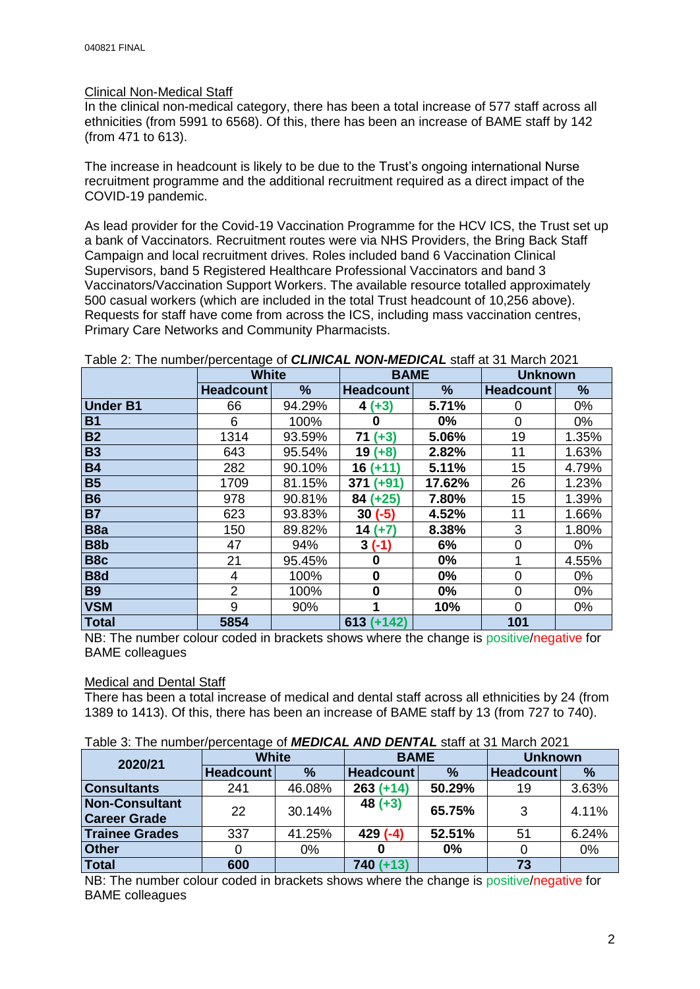#### Clinical Non-Medical Staff

In the clinical non-medical category, there has been a total increase of 577 staff across all ethnicities (from 5991 to 6568). Of this, there has been an increase of BAME staff by 142 (from 471 to 613).

The increase in headcount is likely to be due to the Trust's ongoing international Nurse recruitment programme and the additional recruitment required as a direct impact of the COVID-19 pandemic.

As lead provider for the Covid-19 Vaccination Programme for the HCV ICS, the Trust set up a bank of Vaccinators. Recruitment routes were via NHS Providers, the Bring Back Staff Campaign and local recruitment drives. Roles included band 6 Vaccination Clinical Supervisors, band 5 Registered Healthcare Professional Vaccinators and band 3 Vaccinators/Vaccination Support Workers. The available resource totalled approximately 500 casual workers (which are included in the total Trust headcount of 10,256 above). Requests for staff have come from across the ICS, including mass vaccination centres, Primary Care Networks and Community Pharmacists.

|                  | ັ<br><b>White</b> |        | <b>BAME</b>      |        | <b>Unknown</b>   |       |
|------------------|-------------------|--------|------------------|--------|------------------|-------|
|                  | <b>Headcount</b>  | %      | <b>Headcount</b> | %      | <b>Headcount</b> | %     |
| <b>Under B1</b>  | 66                | 94.29% | $4 (+3)$         | 5.71%  | 0                | 0%    |
| <b>B1</b>        | 6                 | 100%   | 0                | 0%     | 0                | $0\%$ |
| <b>B2</b>        | 1314              | 93.59% | $71 (+3)$        | 5.06%  | 19               | 1.35% |
| <b>B3</b>        | 643               | 95.54% | $19(+8)$         | 2.82%  | 11               | 1.63% |
| <b>B4</b>        | 282               | 90.10% | 16<br>$(+11)$    | 5.11%  | 15               | 4.79% |
| <b>B5</b>        | 1709              | 81.15% | $(+91)$<br>371   | 17.62% | 26               | 1.23% |
| <b>B6</b>        | 978               | 90.81% | $84 (+25)$       | 7.80%  | 15               | 1.39% |
| <b>B7</b>        | 623               | 93.83% | $30(-5)$         | 4.52%  | 11               | 1.66% |
| B <sub>8</sub> a | 150               | 89.82% | $14(+7)$         | 8.38%  | 3                | 1.80% |
| B8b              | 47                | 94%    | $3(-1)$          | 6%     | 0                | 0%    |
| B <sub>8</sub> c | 21                | 95.45% | 0                | 0%     |                  | 4.55% |
| B <sub>8</sub> d | 4                 | 100%   | 0                | 0%     | 0                | 0%    |
| <b>B9</b>        | $\overline{2}$    | 100%   | 0                | $0\%$  | $\Omega$         | 0%    |
| <b>VSM</b>       | 9                 | 90%    | 1                | 10%    | $\Omega$         | 0%    |
| <b>Total</b>     | 5854              |        | $613 (+142)$     |        | 101              |       |

Table 2: The number/percentage of *CLINICAL NON-MEDICAL* staff at 31 March 2021

NB: The number colour coded in brackets shows where the change is positive/negative for BAME colleagues

#### Medical and Dental Staff

There has been a total increase of medical and dental staff across all ethnicities by 24 (from 1389 to 1413). Of this, there has been an increase of BAME staff by 13 (from 727 to 740).

| Table 3: The number/percentage of <b>MEDICAL AND DENTAL</b> staff at 31 March 2021 |
|------------------------------------------------------------------------------------|
|------------------------------------------------------------------------------------|

| 2020/21               | White            |        | <b>BAME</b>      |               | <b>Unknown</b>   |       |  |  |  |
|-----------------------|------------------|--------|------------------|---------------|------------------|-------|--|--|--|
|                       | <b>Headcount</b> | $\%$   | <b>Headcount</b> | $\frac{9}{6}$ | <b>Headcount</b> | %     |  |  |  |
| <b>Consultants</b>    | 241              | 46.08% | $263 (+14)$      | 50.29%        | 19               | 3.63% |  |  |  |
| <b>Non-Consultant</b> | 22               | 30.14% | $48 (+3)$        | 65.75%        | 3                | 4.11% |  |  |  |
| <b>Career Grade</b>   |                  |        |                  |               |                  |       |  |  |  |
| <b>Trainee Grades</b> | 337              | 41.25% | $429(-4)$        | 52.51%        | 51               | 6.24% |  |  |  |
| <b>Other</b>          |                  | $0\%$  |                  | 0%            |                  | 0%    |  |  |  |
| <b>Total</b>          | 600              |        | $740 (+13)$      |               | 73               |       |  |  |  |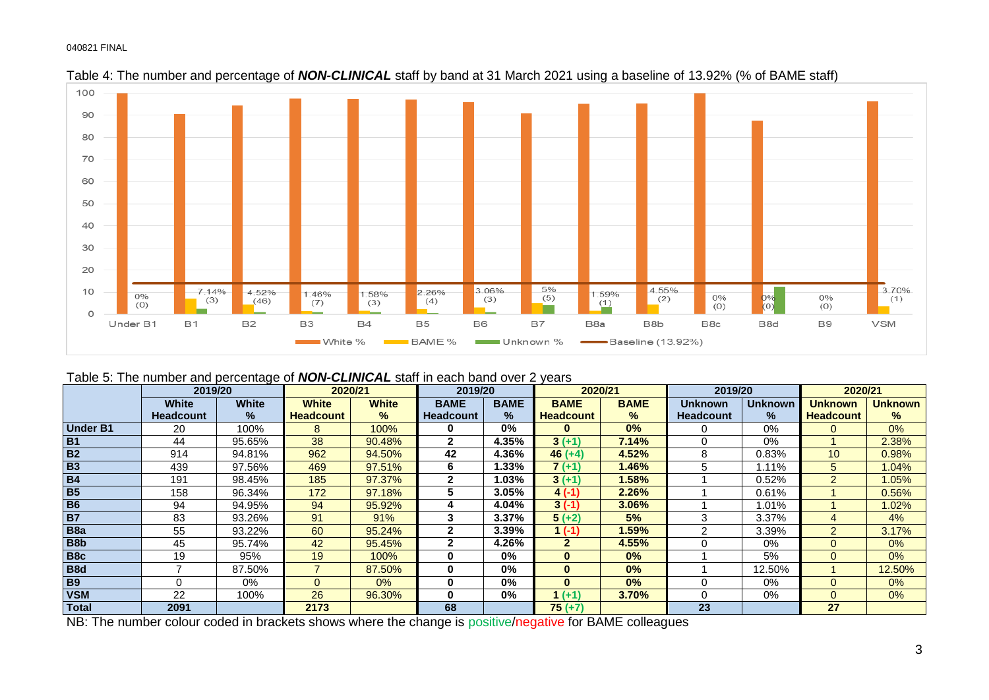

Table 4: The number and percentage of *NON-CLINICAL* staff by band at 31 March 2021 using a baseline of 13.92% (% of BAME staff)

|  | Table 5: The number and percentage of <b>NON-CLINICAL</b> staff in each band over 2 years |  |
|--|-------------------------------------------------------------------------------------------|--|
|--|-------------------------------------------------------------------------------------------|--|

|                  | 2019/20          |              | 2020/21          |               | 2019/20          |               | 2020/21          |               | 2019/20          |                | 2020/21          |                |
|------------------|------------------|--------------|------------------|---------------|------------------|---------------|------------------|---------------|------------------|----------------|------------------|----------------|
|                  | <b>White</b>     | <b>White</b> | <b>White</b>     | <b>White</b>  | <b>BAME</b>      | <b>BAME</b>   | <b>BAME</b>      | <b>BAME</b>   | Unknown          | <b>Unknown</b> | Unknown          | <b>Unknown</b> |
|                  | <b>Headcount</b> | ℅            | <b>Headcount</b> | $\frac{9}{6}$ | <b>Headcount</b> | $\frac{9}{6}$ | <b>Headcount</b> | $\frac{9}{6}$ | <b>Headcount</b> | $\frac{9}{6}$  | <b>Headcount</b> | ℅              |
| <b>Under B1</b>  | 20               | 100%         | 8                | 100%          | 0                | $0\%$         | O                | 0%            |                  | $0\%$          |                  | 0%             |
| <b>B1</b>        | 44               | 95.65%       | 38               | 90.48%        | 2                | 4.35%         | $3(+1)$          | 7.14%         | 0                | $0\%$          |                  | 2.38%          |
| <b>B2</b>        | 914              | 94.81%       | 962              | 94.50%        | 42               | 4.36%         | $46 (+4)$        | 4.52%         | 8                | 0.83%          | 10               | 0.98%          |
| <b>B3</b>        | 439              | 97.56%       | 469              | 97.51%        | 6                | .33%          | $7(+1)$          | 1.46%         | 5                | 1.11%          | 5                | 1.04%          |
| <b>B4</b>        | 191              | 98.45%       | 185              | 97.37%        | $\mathbf{2}$     | .03%          | $3 (+1)$         | 1.58%         |                  | 0.52%          | $\mathcal{P}$    | 1.05%          |
| <b>B5</b>        | 158              | 96.34%       | 172              | 97.18%        | 5                | 3.05%         | $4( -1)$         | 2.26%         |                  | 0.61%          |                  | 0.56%          |
| <b>B6</b>        | 94               | 94.95%       | 94               | 95.92%        | 4                | 4.04%         | $3(-1)$          | 3.06%         |                  | 1.01%          |                  | 1.02%          |
| <b>B7</b>        | 83               | 93.26%       | 91               | 91%           | 3                | 3.37%         | $5 (+2)$         | 5%            | 3                | 3.37%          |                  | 4%             |
| B <sub>8</sub> a | 55               | 93.22%       | 60               | 95.24%        | 2                | 3.39%         | $(-1)$           | 1.59%         | 2                | 3.39%          | 2                | 3.17%          |
| B8b              | 45               | 95.74%       | 42               | 95.45%        | 2                | 4.26%         | $\overline{2}$   | 4.55%         | 0                | 0%             | $\Omega$         | 0%             |
| B8c              | 19               | 95%          | 19               | 100%          | 0                | $0\%$         | $\bf{0}$         | 0%            |                  | 5%             | $\Omega$         | 0%             |
| B <sub>8d</sub>  |                  | 87.50%       |                  | 87.50%        | 0                | $0\%$         | $\bf{0}$         | 0%            |                  | 12.50%         |                  | 12.50%         |
| <b>B9</b>        |                  | 0%           |                  | 0%            | 0                | $0\%$         | $\bf{0}$         | 0%            | 0                | 0%             | $\Omega$         | 0%             |
| <b>VSM</b>       | 22               | 100%         | 26               | 96.30%        | 0                | $0\%$         | $( +1)$          | 3.70%         | 0                | $0\%$          | $\Omega$         | 0%             |
| <b>Total</b>     | 2091             |              | 2173             |               | 68               |               | $75 (+7)$        |               | 23               |                | 27               |                |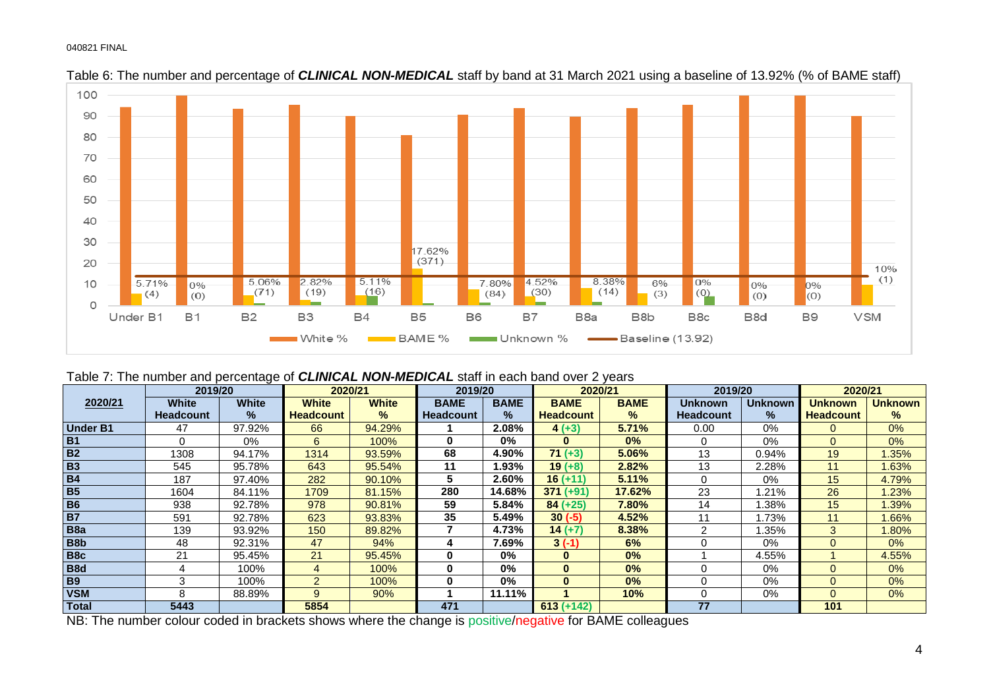



Table 7: The number and percentage of *CLINICAL NON-MEDICAL* staff in each band over 2 years

|                  | 2019/20          |              | 2020/21          |               | 2019/20          |               | 2020/21      |               | 2019/20          |                | 2020/21          |                |
|------------------|------------------|--------------|------------------|---------------|------------------|---------------|--------------|---------------|------------------|----------------|------------------|----------------|
| 2020/21          | <b>White</b>     | <b>White</b> | <b>White</b>     | <b>White</b>  | <b>BAME</b>      | <b>BAME</b>   | <b>BAME</b>  | <b>BAME</b>   | Unknown          | <b>Unknown</b> | Unknown          | <b>Unknown</b> |
|                  | <b>Headcount</b> | $\%$         | <b>Headcount</b> | $\frac{9}{6}$ | <b>Headcount</b> | $\frac{1}{2}$ | Headcount    | $\frac{9}{6}$ | <b>Headcount</b> | $\%$           | <b>Headcount</b> | $\%$           |
| <b>Under B1</b>  | 47               | 97.92%       | 66               | 94.29%        |                  | 2.08%         | $4 (+3)$     | 5.71%         | 0.00             | 0%             | $\Omega$         | 0%             |
| <b>B1</b>        | 0                | 0%           | 6                | 100%          | 0                | $0\%$         | $\bf{0}$     | 0%            | 0                | $0\%$          | $\Omega$         | 0%             |
| B <sub>2</sub>   | 1308             | 94.17%       | 1314             | 93.59%        | 68               | 4.90%         | $71 (+3)$    | 5.06%         | 13               | 0.94%          | 19               | 1.35%          |
| <b>B3</b>        | 545              | 95.78%       | 643              | 95.54%        | 11               | l.93%         | $19 (+8)$    | 2.82%         | 13               | 2.28%          | 11               | 1.63%          |
| <b>B4</b>        | 187              | 97.40%       | 282              | 90.10%        | 5                | 2.60%         | $16 (+11)$   | 5.11%         | 0                | 0%             | 15               | 4.79%          |
| <b>B5</b>        | 1604             | 84.11%       | 1709             | 81.15%        | 280              | 14.68%        | $371 (+91)$  | 17.62%        | 23               | .21%           | 26               | .23%           |
| <b>B6</b>        | 938              | 92.78%       | 978              | 90.81%        | 59               | 5.84%         | $84 (+25)$   | 7.80%         | 14               | .38%           | 15               | 1.39%          |
| <b>B7</b>        | 591              | 92.78%       | 623              | 93.83%        | 35               | 5.49%         | $30(-5)$     | 4.52%         | 11               | .73%           | 11               | 1.66%          |
| B <sub>8</sub> a | 139              | 93.92%       | 150              | 89.82%        |                  | 4.73%         | $14 (+7)$    | 8.38%         | $\overline{c}$   | 1.35%          | 3                | 1.80%          |
| B <sub>8</sub> b | 48               | 92.31%       | 47               | 94%           | 4                | 7.69%         | $3(-1)$      | 6%            | 0                | $0\%$          |                  | 0%             |
| B <sub>8</sub> c | 21               | 95.45%       | 21               | 95.45%        | $\bf{0}$         | $0\%$         | $\bf{0}$     | 0%            |                  | 4.55%          |                  | 4.55%          |
| B <sub>8</sub> d |                  | 100%         |                  | 100%          | 0                | $0\%$         | $\bf{0}$     | 0%            | 0                | 0%             | 0                | 0%             |
| <b>B9</b>        | 3                | 100%         | $\sim$           | 100%          | 0                | $0\%$         | $\bf{0}$     | 0%            | 0                | $0\%$          | $\Omega$         | 0%             |
| <b>VSM</b>       | 8                | 88.89%       | $\mathbf{Q}$     | 90%           |                  | 11.11%        |              | 10%           | 0                | 0%             | 0                | 0%             |
| Total            | 5443             |              | 5854             |               | 471              |               | $613 (+142)$ |               | 77               |                | 101              |                |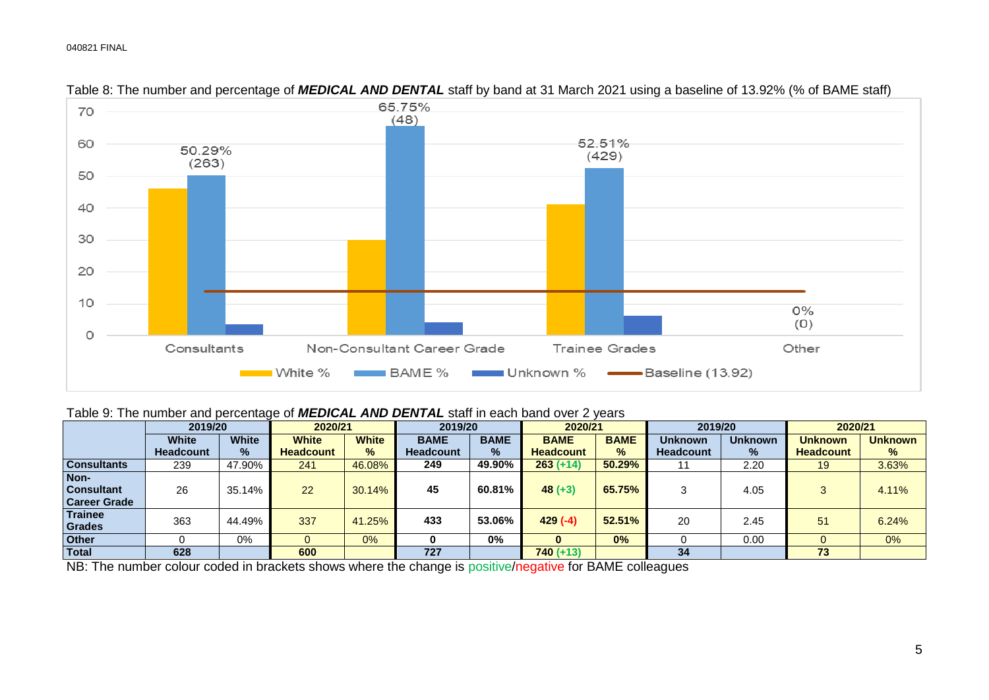

#### Table 8: The number and percentage of *MEDICAL AND DENTAL* staff by band at 31 March 2021 using a baseline of 13.92% (% of BAME staff)

#### Table 9: The number and percentage of *MEDICAL AND DENTAL* staff in each band over 2 years

|                                                  | 2019/20          |              | 2020/21          |               | 2019/20          |             | 2020/21          |               | 2019/20          |                | 2020/21          |                |
|--------------------------------------------------|------------------|--------------|------------------|---------------|------------------|-------------|------------------|---------------|------------------|----------------|------------------|----------------|
|                                                  | <b>White</b>     | <b>White</b> | <b>White</b>     | <b>White</b>  | <b>BAME</b>      | <b>BAME</b> | <b>BAME</b>      | <b>BAME</b>   | <b>Unknown</b>   | <b>Unknown</b> | <b>Unknown</b>   | <b>Unknown</b> |
|                                                  | <b>Headcount</b> | %            | <b>Headcount</b> | $\frac{9}{6}$ | <b>Headcount</b> | $\%$        | <b>Headcount</b> | $\frac{9}{6}$ | <b>Headcount</b> | $\%$           | <b>Headcount</b> | %              |
| <b>Consultants</b>                               | 239              | 47.90%       | 241              | 46.08%        | 249              | 49.90%      | $263 (+14)$      | 50.29%        |                  | 2.20           | 19               | 3.63%          |
| Non-<br><b>Consultant</b><br><b>Career Grade</b> | 26               | 35.14%       | 22               | 30.14%        | 45               | 60.81%      | $48 (+3)$        | 65.75%        |                  | 4.05           |                  | 4.11%          |
| <b>Trainee</b><br>Grades                         | 363              | 44.49%       | 337              | 41.25%        | 433              | 53.06%      | $429(-4)$        | 52.51%        | 20               | 2.45           | 51               | 6.24%          |
| <b>Other</b>                                     |                  | 0%           |                  | 0%            |                  | 0%          |                  | 0%            |                  | 0.00           |                  | $0\%$          |
| Total                                            | 628              |              | 600              |               | 727              |             | $740 (+13)$      |               | 34               |                | 73               |                |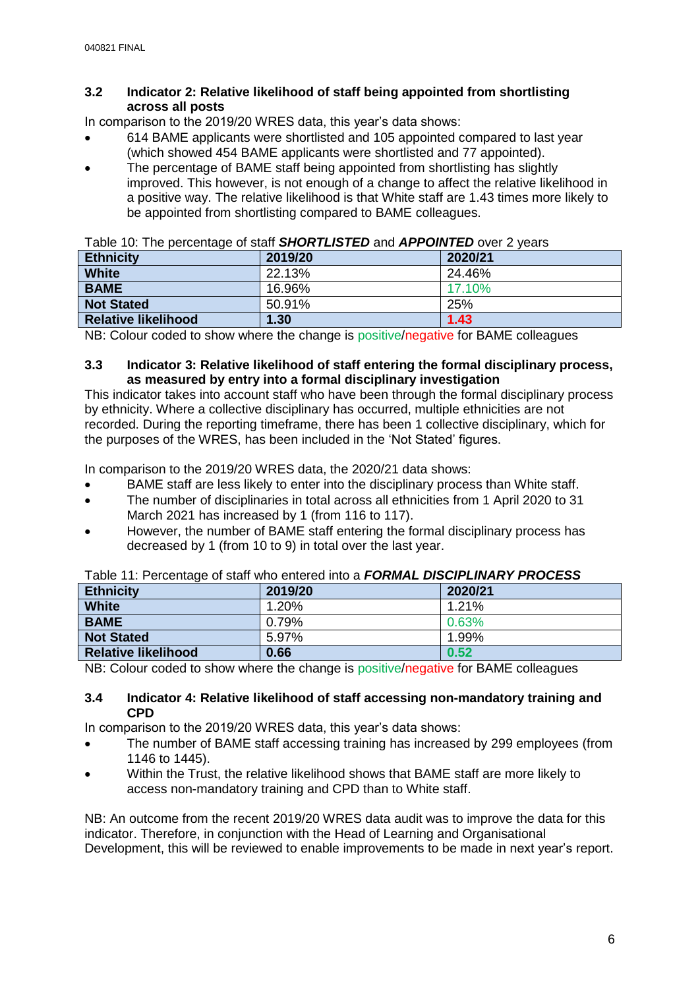#### **3.2 Indicator 2: Relative likelihood of staff being appointed from shortlisting across all posts**

In comparison to the 2019/20 WRES data, this year's data shows:

- 614 BAME applicants were shortlisted and 105 appointed compared to last year (which showed 454 BAME applicants were shortlisted and 77 appointed).
- The percentage of BAME staff being appointed from shortlisting has slightly improved. This however, is not enough of a change to affect the relative likelihood in a positive way. The relative likelihood is that White staff are 1.43 times more likely to be appointed from shortlisting compared to BAME colleagues.

| Table TV. The personage of start <b>briotic Erg rep</b> and ATT <b>on TED</b> over 2 years |         |         |
|--------------------------------------------------------------------------------------------|---------|---------|
| <b>Ethnicity</b>                                                                           | 2019/20 | 2020/21 |
| <b>White</b>                                                                               | 22.13%  | 24.46%  |
| <b>BAME</b>                                                                                | 16.96%  | 17.10%  |
| <b>Not Stated</b>                                                                          | 50.91%  | 25%     |
| <b>Relative likelihood</b>                                                                 | 1.30    | 1.43    |

|  | Table 10: The percentage of staff <b>SHORTLISTED</b> and <b>APPOINTED</b> over 2 years |  |
|--|----------------------------------------------------------------------------------------|--|
|  |                                                                                        |  |

NB: Colour coded to show where the change is positive/negative for BAME colleagues

#### **3.3 Indicator 3: Relative likelihood of staff entering the formal disciplinary process, as measured by entry into a formal disciplinary investigation**

This indicator takes into account staff who have been through the formal disciplinary process by ethnicity. Where a collective disciplinary has occurred, multiple ethnicities are not recorded. During the reporting timeframe, there has been 1 collective disciplinary, which for the purposes of the WRES, has been included in the 'Not Stated' figures.

In comparison to the 2019/20 WRES data, the 2020/21 data shows:

- BAME staff are less likely to enter into the disciplinary process than White staff.
- The number of disciplinaries in total across all ethnicities from 1 April 2020 to 31 March 2021 has increased by 1 (from 116 to 117).
- However, the number of BAME staff entering the formal disciplinary process has decreased by 1 (from 10 to 9) in total over the last year.

|                            | $10000$ . The conduction of the contract of the contract $\bullet$ . The contract of the contract of the contract of the contract of the contract of the contract of the contract of the contract of the contract of the contract |         |
|----------------------------|-----------------------------------------------------------------------------------------------------------------------------------------------------------------------------------------------------------------------------------|---------|
| <b>Ethnicity</b>           | 2019/20                                                                                                                                                                                                                           | 2020/21 |
| <b>White</b>               | 1.20%                                                                                                                                                                                                                             | 1.21%   |
| <b>BAME</b>                | 0.79%                                                                                                                                                                                                                             | 0.63%   |
| <b>Not Stated</b>          | 5.97%                                                                                                                                                                                                                             | 1.99%   |
| <b>Relative likelihood</b> | 0.66                                                                                                                                                                                                                              | 0.52    |

# Table 11: Percentage of staff who entered into a *FORMAL DISCIPLINARY PROCESS*

NB: Colour coded to show where the change is positive/negative for BAME colleagues

#### **3.4 Indicator 4: Relative likelihood of staff accessing non-mandatory training and CPD**

In comparison to the 2019/20 WRES data, this year's data shows:

- The number of BAME staff accessing training has increased by 299 employees (from 1146 to 1445).
- Within the Trust, the relative likelihood shows that BAME staff are more likely to access non-mandatory training and CPD than to White staff.

NB: An outcome from the recent 2019/20 WRES data audit was to improve the data for this indicator. Therefore, in conjunction with the Head of Learning and Organisational Development, this will be reviewed to enable improvements to be made in next year's report.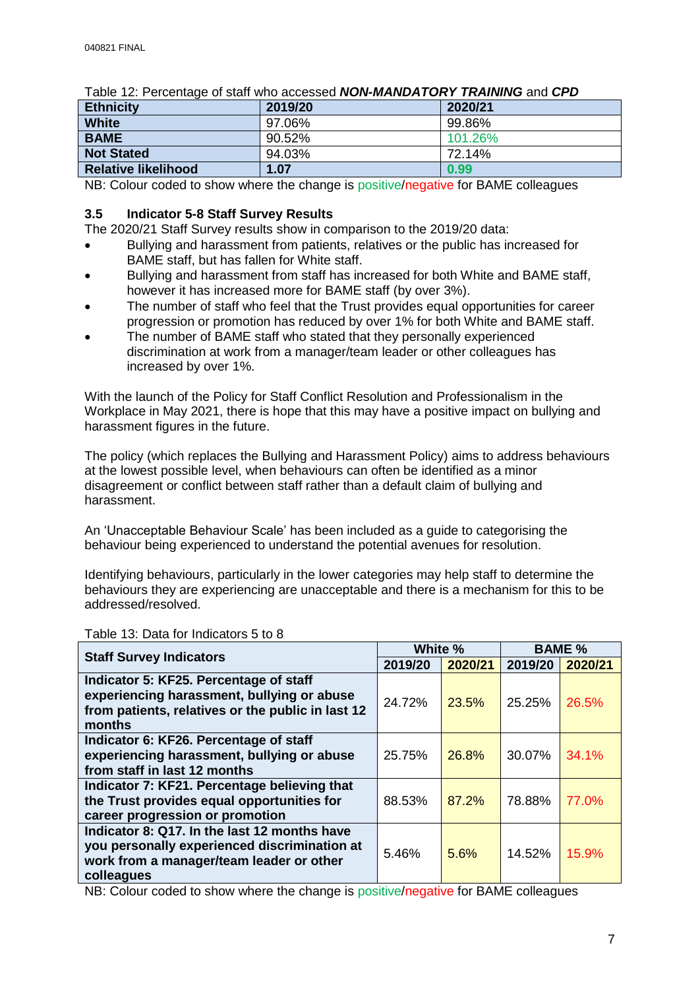| ו מטוס דוס וואז דיסו וויירוס מטעטטע וויסו וואס וואס וויירוס מוט סו ס |         |         |  |  |
|----------------------------------------------------------------------|---------|---------|--|--|
| <b>Ethnicity</b>                                                     | 2019/20 | 2020/21 |  |  |
| <b>White</b>                                                         | 97.06%  | 99.86%  |  |  |
| <b>BAME</b>                                                          | 90.52%  | 101.26% |  |  |
| <b>Not Stated</b>                                                    | 94.03%  | 72.14%  |  |  |
| <b>Relative likelihood</b>                                           | 1.07    | 0.99    |  |  |

Table 12: Percentage of staff who accessed *NON-MANDATORY TRAINING* and *CPD*

NB: Colour coded to show where the change is positive/negative for BAME colleagues

#### **3.5 Indicator 5-8 Staff Survey Results**

The 2020/21 Staff Survey results show in comparison to the 2019/20 data:

- Bullying and harassment from patients, relatives or the public has increased for BAME staff, but has fallen for White staff.
- Bullying and harassment from staff has increased for both White and BAME staff, however it has increased more for BAME staff (by over 3%).
- The number of staff who feel that the Trust provides equal opportunities for career progression or promotion has reduced by over 1% for both White and BAME staff.
- The number of BAME staff who stated that they personally experienced discrimination at work from a manager/team leader or other colleagues has increased by over 1%.

With the launch of the Policy for Staff Conflict Resolution and Professionalism in the Workplace in May 2021, there is hope that this may have a positive impact on bullying and harassment figures in the future.

The policy (which replaces the Bullying and Harassment Policy) aims to address behaviours at the lowest possible level, when behaviours can often be identified as a minor disagreement or conflict between staff rather than a default claim of bullying and harassment.

An 'Unacceptable Behaviour Scale' has been included as a guide to categorising the behaviour being experienced to understand the potential avenues for resolution.

Identifying behaviours, particularly in the lower categories may help staff to determine the behaviours they are experiencing are unacceptable and there is a mechanism for this to be addressed/resolved.

| <b>Staff Survey Indicators</b>                                                                                                                         | White % |         | <b>BAME %</b> |         |
|--------------------------------------------------------------------------------------------------------------------------------------------------------|---------|---------|---------------|---------|
|                                                                                                                                                        | 2019/20 | 2020/21 | 2019/20       | 2020/21 |
| Indicator 5: KF25. Percentage of staff<br>experiencing harassment, bullying or abuse<br>from patients, relatives or the public in last 12<br>months    | 24.72%  | 23.5%   | 25.25%        | 26.5%   |
| Indicator 6: KF26. Percentage of staff<br>experiencing harassment, bullying or abuse<br>from staff in last 12 months                                   | 25.75%  | 26.8%   | 30.07%        | 34.1%   |
| Indicator 7: KF21. Percentage believing that<br>the Trust provides equal opportunities for<br>career progression or promotion                          | 88.53%  | 87.2%   | 78.88%        | 77.0%   |
| Indicator 8: Q17. In the last 12 months have<br>you personally experienced discrimination at<br>work from a manager/team leader or other<br>colleagues | 5.46%   | 5.6%    | 14.52%        | 15.9%   |

Table 13: Data for Indicators 5 to 8

NB: Colour coded to show where the change is positive/negative for BAME colleagues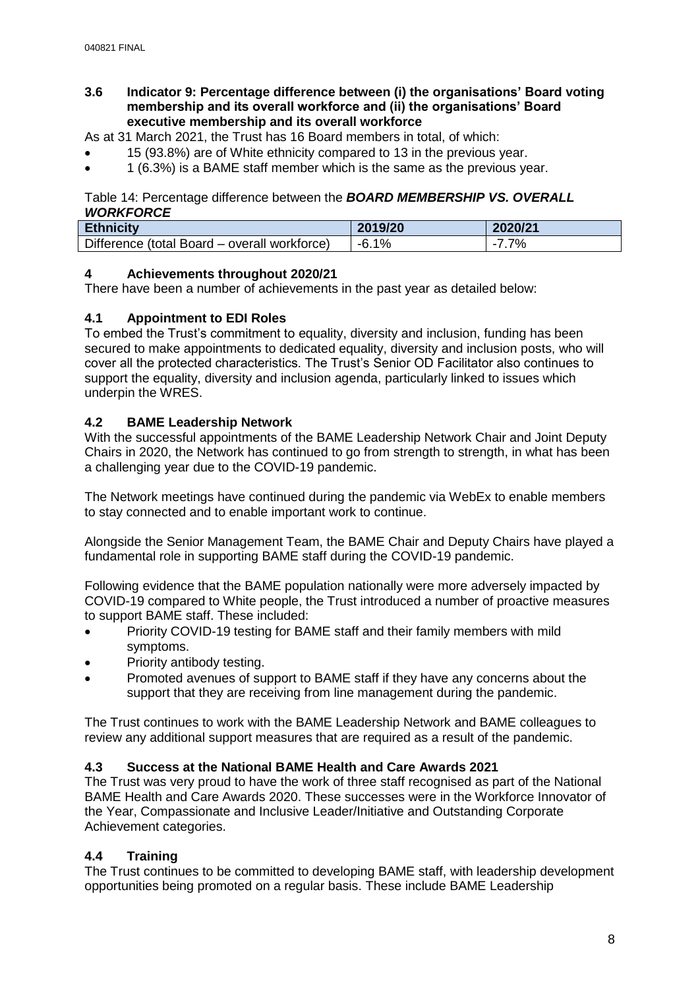**3.6 Indicator 9: Percentage difference between (i) the organisations' Board voting membership and its overall workforce and (ii) the organisations' Board executive membership and its overall workforce**

As at 31 March 2021, the Trust has 16 Board members in total, of which:

- 15 (93.8%) are of White ethnicity compared to 13 in the previous year.
- $\bullet$  1 (6.3%) is a BAME staff member which is the same as the previous year.

Table 14: Percentage difference between the *BOARD MEMBERSHIP VS. OVERALL WORKFORCE* 

| <b>Ethnicity</b>                             | 2019/20 | 2020/21 |
|----------------------------------------------|---------|---------|
| Difference (total Board – overall workforce) | $-6.1%$ | 7.7%    |

## **4 Achievements throughout 2020/21**

There have been a number of achievements in the past year as detailed below:

## **4.1 Appointment to EDI Roles**

To embed the Trust's commitment to equality, diversity and inclusion, funding has been secured to make appointments to dedicated equality, diversity and inclusion posts, who will cover all the protected characteristics. The Trust's Senior OD Facilitator also continues to support the equality, diversity and inclusion agenda, particularly linked to issues which underpin the WRES.

## **4.2 BAME Leadership Network**

With the successful appointments of the BAME Leadership Network Chair and Joint Deputy Chairs in 2020, the Network has continued to go from strength to strength, in what has been a challenging year due to the COVID-19 pandemic.

The Network meetings have continued during the pandemic via WebEx to enable members to stay connected and to enable important work to continue.

Alongside the Senior Management Team, the BAME Chair and Deputy Chairs have played a fundamental role in supporting BAME staff during the COVID-19 pandemic.

Following evidence that the BAME population nationally were more adversely impacted by COVID-19 compared to White people, the Trust introduced a number of proactive measures to support BAME staff. These included:

- Priority COVID-19 testing for BAME staff and their family members with mild symptoms.
- Priority antibody testing.
- Promoted avenues of support to BAME staff if they have any concerns about the support that they are receiving from line management during the pandemic.

The Trust continues to work with the BAME Leadership Network and BAME colleagues to review any additional support measures that are required as a result of the pandemic.

## **4.3 Success at the National BAME Health and Care Awards 2021**

The Trust was very proud to have the work of three staff recognised as part of the National BAME Health and Care Awards 2020. These successes were in the Workforce Innovator of the Year, Compassionate and Inclusive Leader/Initiative and Outstanding Corporate Achievement categories.

## **4.4 Training**

The Trust continues to be committed to developing BAME staff, with leadership development opportunities being promoted on a regular basis. These include BAME Leadership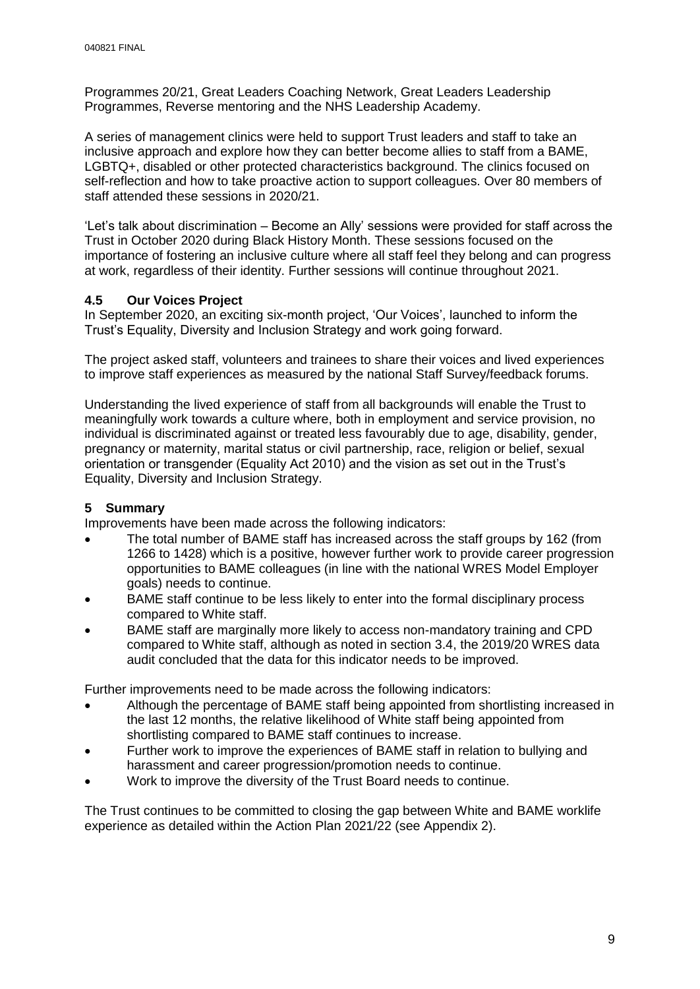Programmes 20/21, Great Leaders Coaching Network, Great Leaders Leadership Programmes, Reverse mentoring and the NHS Leadership Academy.

A series of management clinics were held to support Trust leaders and staff to take an inclusive approach and explore how they can better become allies to staff from a BAME, LGBTQ+, disabled or other protected characteristics background. The clinics focused on self-reflection and how to take proactive action to support colleagues. Over 80 members of staff attended these sessions in 2020/21.

'Let's talk about discrimination – Become an Ally' sessions were provided for staff across the Trust in October 2020 during Black History Month. These sessions focused on the importance of fostering an inclusive culture where all staff feel they belong and can progress at work, regardless of their identity. Further sessions will continue throughout 2021.

## **4.5 Our Voices Project**

In September 2020, an exciting six-month project, 'Our Voices', launched to inform the Trust's Equality, Diversity and Inclusion Strategy and work going forward.

The project asked staff, volunteers and trainees to share their voices and lived experiences to improve staff experiences as measured by the national Staff Survey/feedback forums.

Understanding the lived experience of staff from all backgrounds will enable the Trust to meaningfully work towards a culture where, both in employment and service provision, no individual is discriminated against or treated less favourably due to age, disability, gender, pregnancy or maternity, marital status or civil partnership, race, religion or belief, sexual orientation or transgender (Equality Act 2010) and the vision as set out in the Trust's Equality, Diversity and Inclusion Strategy.

## **5 Summary**

Improvements have been made across the following indicators:

- The total number of BAME staff has increased across the staff groups by 162 (from 1266 to 1428) which is a positive, however further work to provide career progression opportunities to BAME colleagues (in line with the national WRES Model Employer goals) needs to continue.
- BAME staff continue to be less likely to enter into the formal disciplinary process compared to White staff.
- BAME staff are marginally more likely to access non-mandatory training and CPD compared to White staff, although as noted in section 3.4, the 2019/20 WRES data audit concluded that the data for this indicator needs to be improved.

Further improvements need to be made across the following indicators:

- Although the percentage of BAME staff being appointed from shortlisting increased in the last 12 months, the relative likelihood of White staff being appointed from shortlisting compared to BAME staff continues to increase.
- Further work to improve the experiences of BAME staff in relation to bullying and harassment and career progression/promotion needs to continue.
- Work to improve the diversity of the Trust Board needs to continue.

The Trust continues to be committed to closing the gap between White and BAME worklife experience as detailed within the Action Plan 2021/22 (see Appendix 2).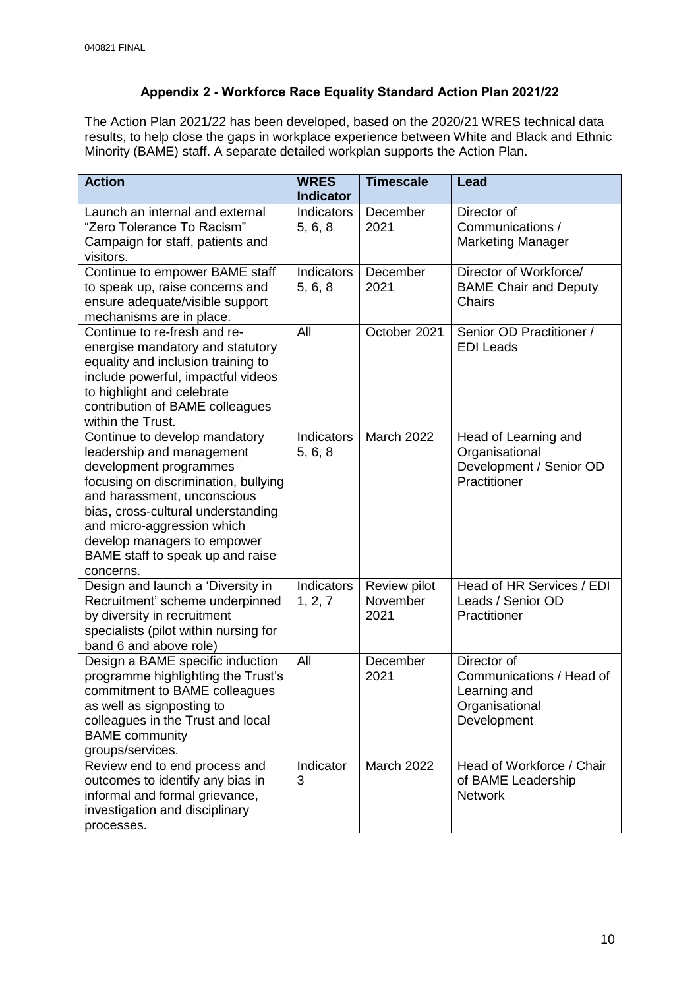# **Appendix 2 - Workforce Race Equality Standard Action Plan 2021/22**

The Action Plan 2021/22 has been developed, based on the 2020/21 WRES technical data results, to help close the gaps in workplace experience between White and Black and Ethnic Minority (BAME) staff. A separate detailed workplan supports the Action Plan.

| <b>Action</b>                                                                                                                                                                                                                                                                                                   | <b>WRES</b><br><b>Indicator</b> | <b>Timescale</b>                 | Lead                                                                                     |
|-----------------------------------------------------------------------------------------------------------------------------------------------------------------------------------------------------------------------------------------------------------------------------------------------------------------|---------------------------------|----------------------------------|------------------------------------------------------------------------------------------|
| Launch an internal and external<br>"Zero Tolerance To Racism"<br>Campaign for staff, patients and<br>visitors.                                                                                                                                                                                                  | Indicators<br>5, 6, 8           | December<br>2021                 | Director of<br>Communications /<br><b>Marketing Manager</b>                              |
| Continue to empower BAME staff<br>to speak up, raise concerns and<br>ensure adequate/visible support<br>mechanisms are in place.                                                                                                                                                                                | Indicators<br>5, 6, 8           | December<br>2021                 | Director of Workforce/<br><b>BAME Chair and Deputy</b><br><b>Chairs</b>                  |
| Continue to re-fresh and re-<br>energise mandatory and statutory<br>equality and inclusion training to<br>include powerful, impactful videos<br>to highlight and celebrate<br>contribution of BAME colleagues<br>within the Trust.                                                                              | All                             | October 2021                     | Senior OD Practitioner /<br><b>EDI</b> Leads                                             |
| Continue to develop mandatory<br>leadership and management<br>development programmes<br>focusing on discrimination, bullying<br>and harassment, unconscious<br>bias, cross-cultural understanding<br>and micro-aggression which<br>develop managers to empower<br>BAME staff to speak up and raise<br>concerns. | Indicators<br>5, 6, 8           | March 2022                       | Head of Learning and<br>Organisational<br>Development / Senior OD<br>Practitioner        |
| Design and launch a 'Diversity in<br>Recruitment' scheme underpinned<br>by diversity in recruitment<br>specialists (pilot within nursing for<br>band 6 and above role)                                                                                                                                          | Indicators<br>1, 2, 7           | Review pilot<br>November<br>2021 | Head of HR Services / EDI<br>Leads / Senior OD<br>Practitioner                           |
| Design a BAME specific induction<br>programme highlighting the Trust's<br>commitment to BAME colleagues<br>as well as signposting to<br>colleagues in the Trust and local<br><b>BAME</b> community<br>groups/services.                                                                                          | All                             | December<br>2021                 | Director of<br>Communications / Head of<br>Learning and<br>Organisational<br>Development |
| Review end to end process and<br>outcomes to identify any bias in<br>informal and formal grievance,<br>investigation and disciplinary<br>processes.                                                                                                                                                             | Indicator<br>3                  | March 2022                       | Head of Workforce / Chair<br>of BAME Leadership<br><b>Network</b>                        |